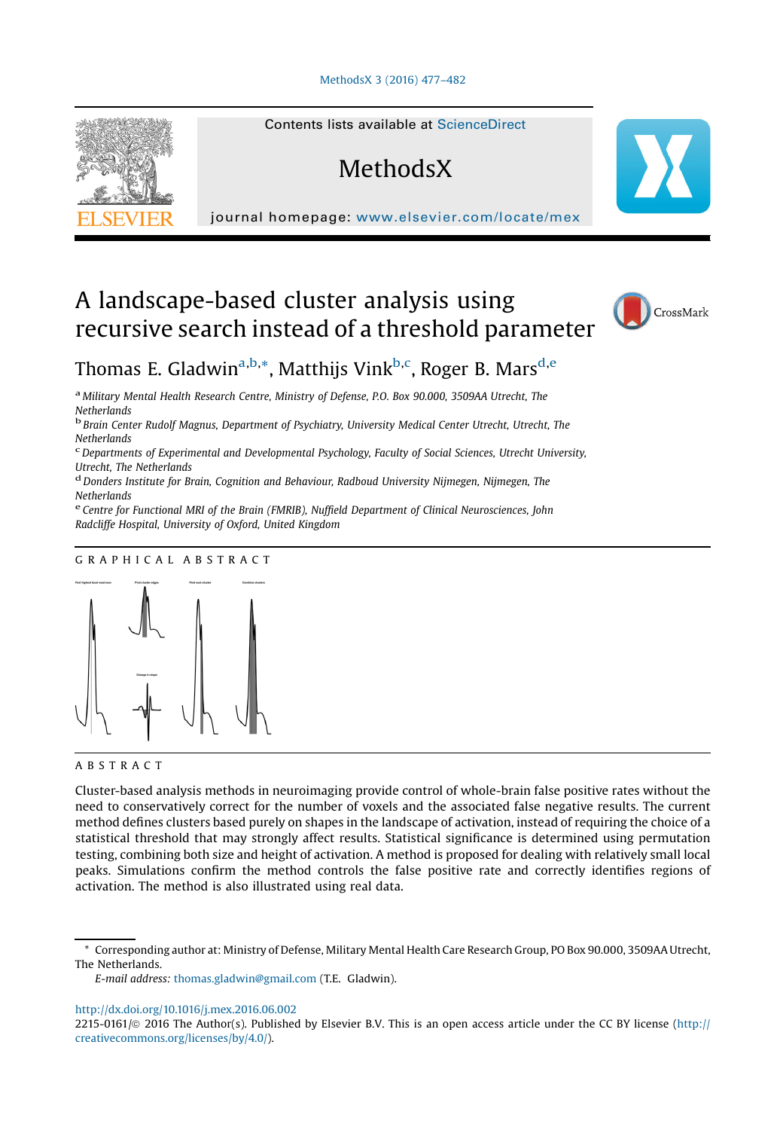#### [MethodsX 3 \(2016\) 477](http://dx.doi.org/10.1016/j.mex.2016.06.002)–482



Contents lists available at ScienceDirect

# **MethodsX**

journal homepage: <www.elsevier.com/locate/mex>

# A landscape-based cluster analysis using recursive search instead of a threshold parameter



Thomas E. Gladwin<sup>a,b,</sup>\*, Matthijs Vink<sup>b,c</sup>, Roger B. Mars<sup>d,e</sup>

<sup>a</sup> Military Mental Health Research Centre, Ministry of Defense, P.O. Box 90.000, 3509AA Utrecht, The **Netherlands** 

<sup>b</sup> Brain Center Rudolf Magnus, Department of Psychiatry, University Medical Center Utrecht, Utrecht, The Netherlands

c Departments of Experimental and Developmental Psychology, Faculty of Social Sciences, Utrecht University, Utrecht, The Netherlands

<sup>d</sup> Donders Institute for Brain, Cognition and Behaviour, Radboud University Nijmegen, Nijmegen, The **Netherlands** 

e Centre for Functional MRI of the Brain (FMRIB), Nuffield Department of Clinical Neurosciences, John Radcliffe Hospital, University of Oxford, United Kingdom

## GRAPHICAL ABSTRACT



### ABSTRACT

Cluster-based analysis methods in neuroimaging provide control of whole-brain false positive rates without the need to conservatively correct for the number of voxels and the associated false negative results. The current method defines clusters based purely on shapes in the landscape of activation, instead of requiring the choice of a statistical threshold that may strongly affect results. Statistical significance is determined using permutation testing, combining both size and height of activation. A method is proposed for dealing with relatively small local peaks. Simulations confirm the method controls the false positive rate and correctly identifies regions of activation. The method is also illustrated using real data.

<http://dx.doi.org/10.1016/j.mex.2016.06.002>

<sup>\*</sup> Corresponding author at: Ministry of Defense, Military Mental Health Care Research Group, PO Box 90.000, 3509AA Utrecht, The Netherlands.

E-mail address: [thomas.gladwin@gmail.com](mailto:thomas.gladwin@gmail.com) (T.E. Gladwin).

<sup>2215-0161/</sup> $\otimes$  2016 The Author(s). Published by Elsevier B.V. This is an open access article under the CC BY license ([http://](http://creativecommons.org/licenses/by/4.0/) [creativecommons.org/licenses/by/4.0/](http://creativecommons.org/licenses/by/4.0/)).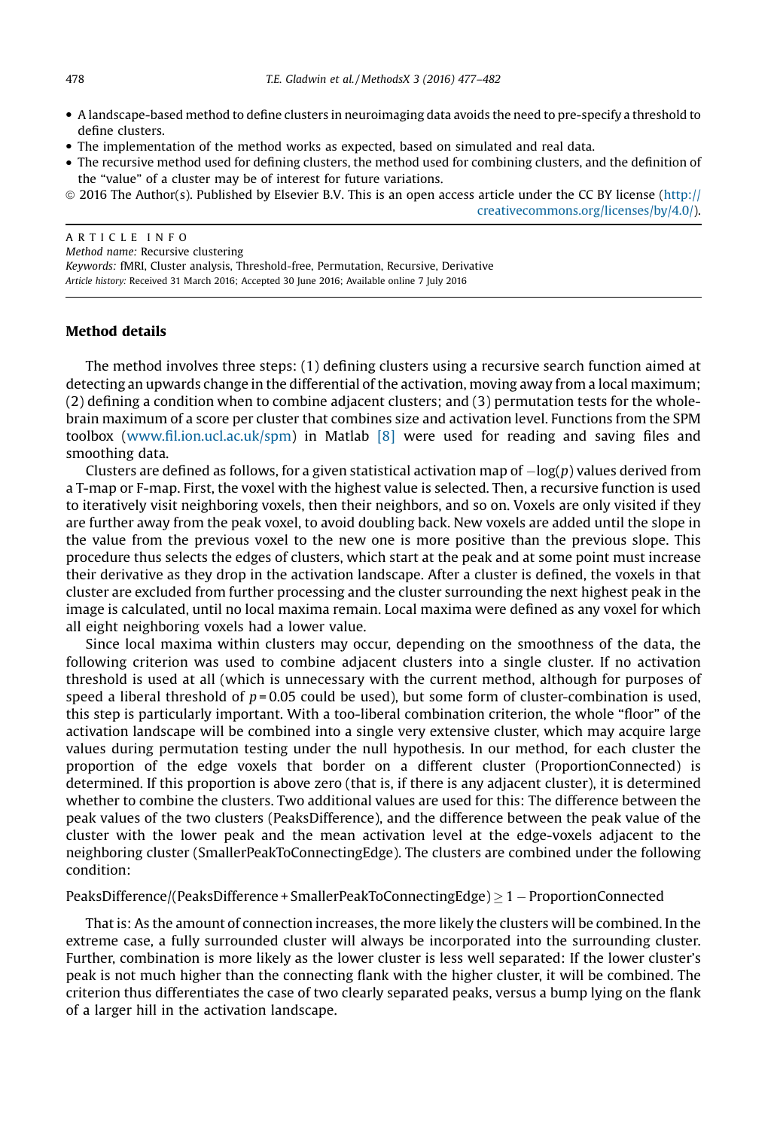- A landscape-based method to define clusters in neuroimaging data avoids the need to pre-specify a threshold to define clusters.
- The implementation of the method works as expected, based on simulated and real data.
- The recursive method used for defining clusters, the method used for combining clusters, and the definition of the "value" of a cluster may be of interest for future variations.
- ã 2016 The Author(s). Published by Elsevier B.V. This is an open access article under the CC BY license ([http://](http://creativecommons.org/licenses/by/4.0/) [creativecommons.org/licenses/by/4.0/\)](http://creativecommons.org/licenses/by/4.0/).

ARTICLE INFO Method name: Recursive clustering Keywords: fMRI, Cluster analysis, Threshold-free, Permutation, Recursive, Derivative Article history: Received 31 March 2016; Accepted 30 June 2016; Available online 7 July 2016

## Method details

The method involves three steps: (1) defining clusters using a recursive search function aimed at detecting an upwards change in the differential of the activation, moving away from a local maximum; (2) defining a condition when to combine adjacent clusters; and (3) permutation tests for the wholebrain maximum of a score per cluster that combines size and activation level. Functions from the SPM toolbox (www.fi[l.ion.ucl.ac.uk/spm\)](http://www.fil.ion.ucl.ac.uk/spm) in Matlab [\[8\]](#page-5-0) were used for reading and saving files and smoothing data.

Clusters are defined as follows, for a given statistical activation map of  $-\log(p)$  values derived from a T-map or F-map. First, the voxel with the highest value is selected. Then, a recursive function is used to iteratively visit neighboring voxels, then their neighbors, and so on. Voxels are only visited if they are further away from the peak voxel, to avoid doubling back. New voxels are added until the slope in the value from the previous voxel to the new one is more positive than the previous slope. This procedure thus selects the edges of clusters, which start at the peak and at some point must increase their derivative as they drop in the activation landscape. After a cluster is defined, the voxels in that cluster are excluded from further processing and the cluster surrounding the next highest peak in the image is calculated, until no local maxima remain. Local maxima were defined as any voxel for which all eight neighboring voxels had a lower value.

Since local maxima within clusters may occur, depending on the smoothness of the data, the following criterion was used to combine adjacent clusters into a single cluster. If no activation threshold is used at all (which is unnecessary with the current method, although for purposes of speed a liberal threshold of  $p = 0.05$  could be used), but some form of cluster-combination is used, this step is particularly important. With a too-liberal combination criterion, the whole "floor" of the activation landscape will be combined into a single very extensive cluster, which may acquire large values during permutation testing under the null hypothesis. In our method, for each cluster the proportion of the edge voxels that border on a different cluster (ProportionConnected) is determined. If this proportion is above zero (that is, if there is any adjacent cluster), it is determined whether to combine the clusters. Two additional values are used for this: The difference between the peak values of the two clusters (PeaksDifference), and the difference between the peak value of the cluster with the lower peak and the mean activation level at the edge-voxels adjacent to the neighboring cluster (SmallerPeakToConnectingEdge). The clusters are combined under the following condition:

### PeaksDifference/(PeaksDifference + SmallerPeakToConnectingEdge)  $\geq 1$  – ProportionConnected

That is: As the amount of connection increases, the more likely the clusters will be combined. In the extreme case, a fully surrounded cluster will always be incorporated into the surrounding cluster. Further, combination is more likely as the lower cluster is less well separated: If the lower cluster's peak is not much higher than the connecting flank with the higher cluster, it will be combined. The criterion thus differentiates the case of two clearly separated peaks, versus a bump lying on the flank of a larger hill in the activation landscape.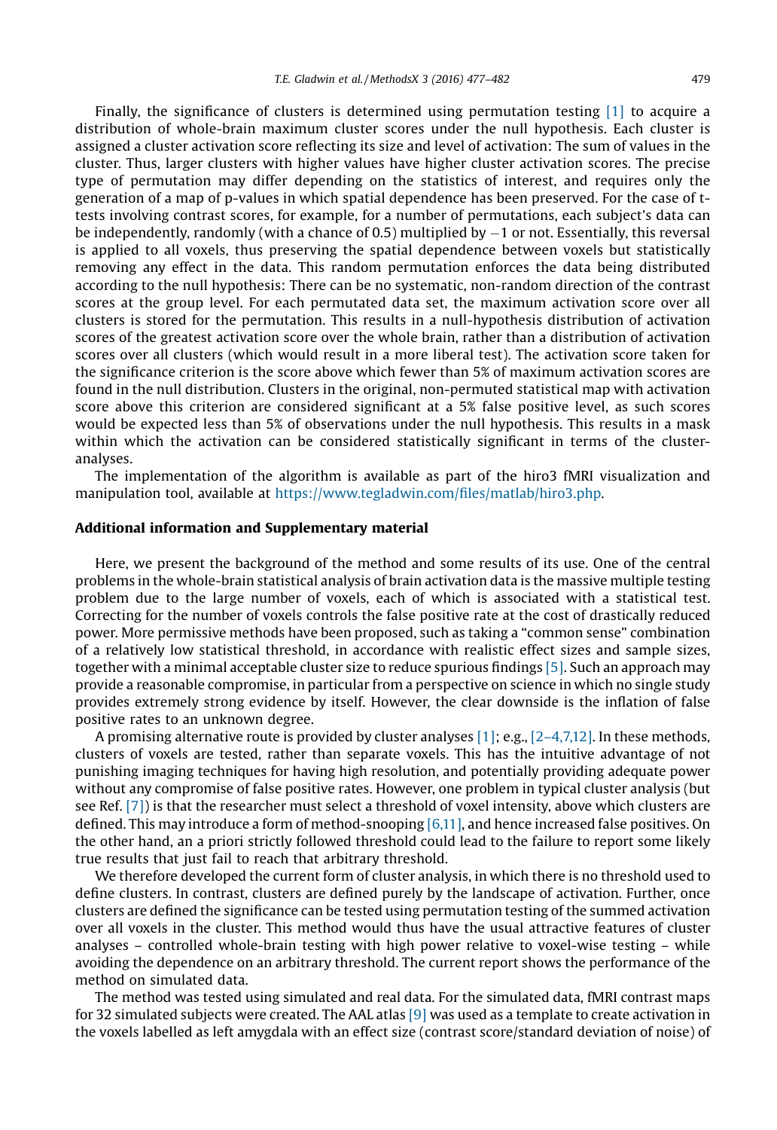Finally, the significance of clusters is determined using permutation testing [\[1\]](#page-5-0) to acquire a distribution of whole-brain maximum cluster scores under the null hypothesis. Each cluster is assigned a cluster activation score reflecting its size and level of activation: The sum of values in the cluster. Thus, larger clusters with higher values have higher cluster activation scores. The precise type of permutation may differ depending on the statistics of interest, and requires only the generation of a map of p-values in which spatial dependence has been preserved. For the case of ttests involving contrast scores, for example, for a number of permutations, each subject's data can be independently, randomly (with a chance of 0.5) multiplied by  $-1$  or not. Essentially, this reversal is applied to all voxels, thus preserving the spatial dependence between voxels but statistically removing any effect in the data. This random permutation enforces the data being distributed according to the null hypothesis: There can be no systematic, non-random direction of the contrast scores at the group level. For each permutated data set, the maximum activation score over all clusters is stored for the permutation. This results in a null-hypothesis distribution of activation scores of the greatest activation score over the whole brain, rather than a distribution of activation scores over all clusters (which would result in a more liberal test). The activation score taken for the significance criterion is the score above which fewer than 5% of maximum activation scores are found in the null distribution. Clusters in the original, non-permuted statistical map with activation score above this criterion are considered significant at a 5% false positive level, as such scores would be expected less than 5% of observations under the null hypothesis. This results in a mask within which the activation can be considered statistically significant in terms of the clusteranalyses.

The implementation of the algorithm is available as part of the hiro3 fMRI visualization and manipulation tool, available at [https://www.tegladwin.com/](http://https://www.tegladwin.com/files/matlab/hiro3.php)files/matlab/hiro3.php.

## Additional information and Supplementary material

Here, we present the background of the method and some results of its use. One of the central problems in the whole-brain statistical analysis of brain activation data is the massive multiple testing problem due to the large number of voxels, each of which is associated with a statistical test. Correcting for the number of voxels controls the false positive rate at the cost of drastically reduced power. More permissive methods have been proposed, such as taking a "common sense" combination of a relatively low statistical threshold, in accordance with realistic effect sizes and sample sizes, together with a minimal acceptable cluster size to reduce spurious findings [\[5\]](#page-5-0). Such an approach may provide a reasonable compromise, in particular from a perspective on science in which no single study provides extremely strong evidence by itself. However, the clear downside is the inflation of false positive rates to an unknown degree.

A promising alternative route is provided by cluster analyses  $[1]$ ; e.g.,  $[2-4,7,12]$ . In these methods, clusters of voxels are tested, rather than separate voxels. This has the intuitive advantage of not punishing imaging techniques for having high resolution, and potentially providing adequate power without any compromise of false positive rates. However, one problem in typical cluster analysis (but see Ref. [\[7\]\)](#page-5-0) is that the researcher must select a threshold of voxel intensity, above which clusters are defined. This may introduce a form of method-snooping  $[6,11]$ , and hence increased false positives. On the other hand, an a priori strictly followed threshold could lead to the failure to report some likely true results that just fail to reach that arbitrary threshold.

We therefore developed the current form of cluster analysis, in which there is no threshold used to define clusters. In contrast, clusters are defined purely by the landscape of activation. Further, once clusters are defined the significance can be tested using permutation testing of the summed activation over all voxels in the cluster. This method would thus have the usual attractive features of cluster analyses – controlled whole-brain testing with high power relative to voxel-wise testing – while avoiding the dependence on an arbitrary threshold. The current report shows the performance of the method on simulated data.

The method was tested using simulated and real data. For the simulated data, fMRI contrast maps for 32 simulated subjects were created. The AAL atlas [\[9\]](#page-5-0) was used as a template to create activation in the voxels labelled as left amygdala with an effect size (contrast score/standard deviation of noise) of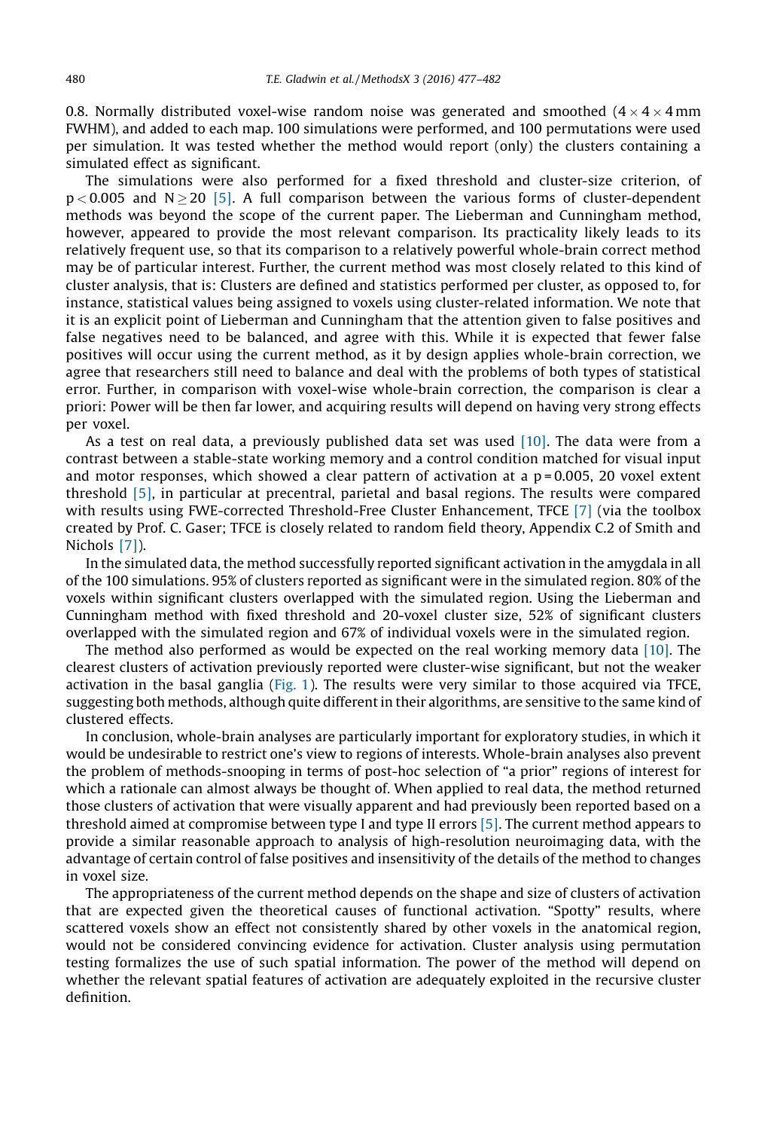0.8. Normally distributed voxel-wise random noise was generated and smoothed  $(4 \times 4 \times 4 \text{ mm})$ FWHM), and added to each map. 100 simulations were performed, and 100 permutations were used per simulation. It was tested whether the method would report (only) the clusters containing a simulated effect as significant.

The simulations were also performed for a fixed threshold and cluster-size criterion, of  $p < 0.005$  and  $N > 20$  [\[5\].](#page-5-0) A full comparison between the various forms of cluster-dependent methods was beyond the scope of the current paper. The Lieberman and Cunningham method, however, appeared to provide the most relevant comparison. Its practicality likely leads to its relatively frequent use, so that its comparison to a relatively powerful whole-brain correct method may be of particular interest. Further, the current method was most closely related to this kind of cluster analysis, that is: Clusters are defined and statistics performed per cluster, as opposed to, for instance, statistical values being assigned to voxels using cluster-related information. We note that it is an explicit point of Lieberman and Cunningham that the attention given to false positives and false negatives need to be balanced, and agree with this. While it is expected that fewer false positives will occur using the current method, as it by design applies whole-brain correction, we agree that researchers still need to balance and deal with the problems of both types of statistical error. Further, in comparison with voxel-wise whole-brain correction, the comparison is clear a priori: Power will be then far lower, and acquiring results will depend on having very strong effects per voxel.

As a test on real data, a previously published data set was used [\[10\]](#page-5-0). The data were from a contrast between a stable-state working memory and a control condition matched for visual input and motor responses, which showed a clear pattern of activation at a  $p = 0.005$ , 20 voxel extent threshold [\[5\]](#page-5-0), in particular at precentral, parietal and basal regions. The results were compared with results using FWE-corrected Threshold-Free Cluster Enhancement, TFCE [\[7\]](#page-5-0) (via the toolbox created by Prof. C. Gaser; TFCE is closely related to random field theory, Appendix C.2 of Smith and Nichols [\[7\]\)](#page-5-0).

In the simulated data, the method successfully reported significant activation in the amygdala in all of the 100 simulations. 95% of clusters reported as significant were in the simulated region. 80% of the voxels within significant clusters overlapped with the simulated region. Using the Lieberman and Cunningham method with fixed threshold and 20-voxel cluster size, 52% of significant clusters overlapped with the simulated region and 67% of individual voxels were in the simulated region.

The method also performed as would be expected on the real working memory data [\[10\]](#page-5-0). The clearest clusters of activation previously reported were cluster-wise significant, but not the weaker activation in the basal ganglia [\(Fig. 1](#page-4-0)). The results were very similar to those acquired via TFCE, suggesting both methods, although quite different in their algorithms, are sensitive to the same kind of clustered effects.

In conclusion, whole-brain analyses are particularly important for exploratory studies, in which it would be undesirable to restrict one's view to regions of interests. Whole-brain analyses also prevent the problem of methods-snooping in terms of post-hoc selection of "a prior" regions of interest for which a rationale can almost always be thought of. When applied to real data, the method returned those clusters of activation that were visually apparent and had previously been reported based on a threshold aimed at compromise between type I and type II errors [\[5\]](#page-5-0). The current method appears to provide a similar reasonable approach to analysis of high-resolution neuroimaging data, with the advantage of certain control of false positives and insensitivity of the details of the method to changes in voxel size.

The appropriateness of the current method depends on the shape and size of clusters of activation that are expected given the theoretical causes of functional activation. "Spotty" results, where scattered voxels show an effect not consistently shared by other voxels in the anatomical region, would not be considered convincing evidence for activation. Cluster analysis using permutation testing formalizes the use of such spatial information. The power of the method will depend on whether the relevant spatial features of activation are adequately exploited in the recursive cluster definition.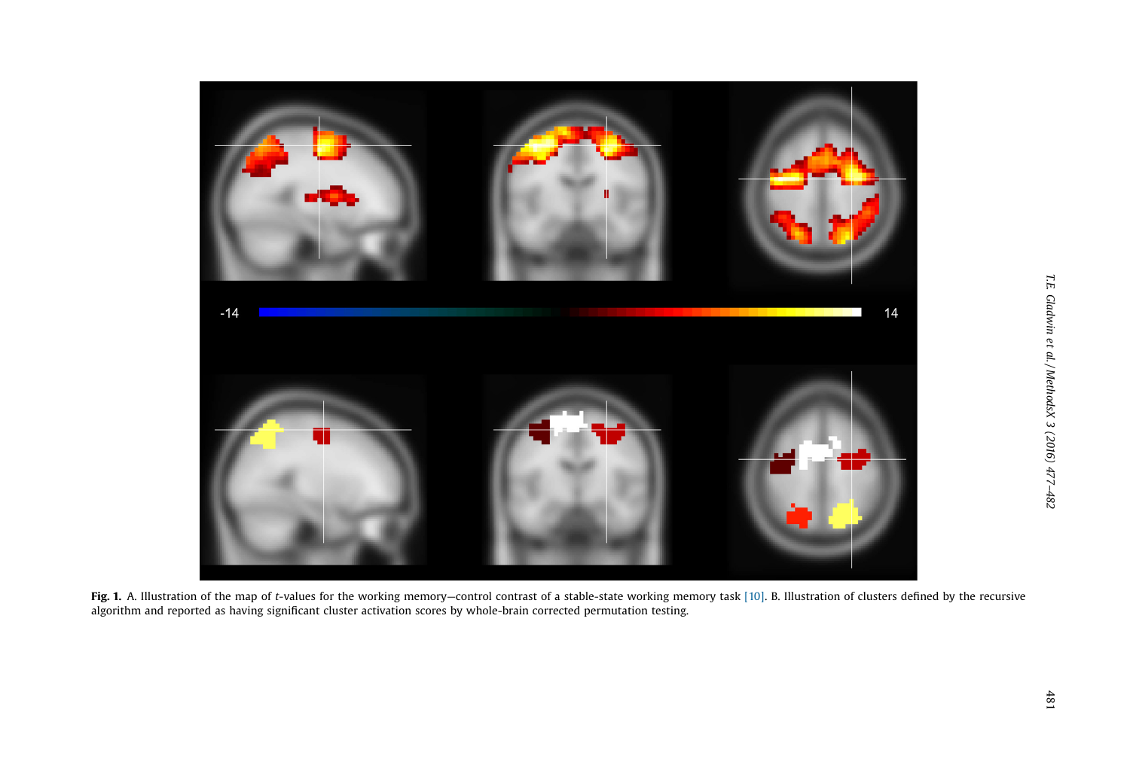<span id="page-4-0"></span>

Fig. 1. A. Illustration of the map of t-values for the working memory—control contrast of a stable-state working memory task [\[10\]](#page-5-0). B. Illustration of clusters defined by the recursive algorithm and reported as having significant cluster activation scores by whole-brain corrected permutation testing.